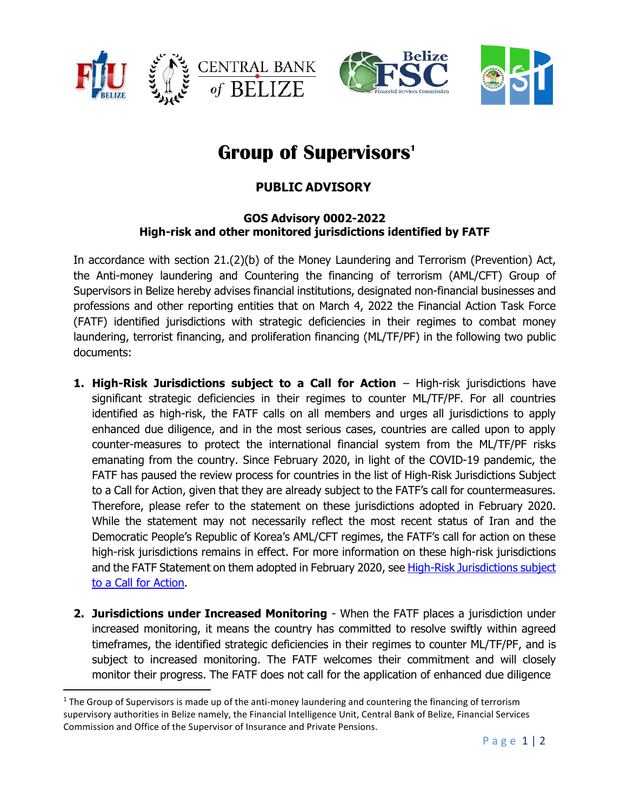



## **Group of Supervisors<sup>1</sup>**

## **PUBLIC ADVISORY**

## **GOS Advisory 0002-2022 High-risk and other monitored jurisdictions identified by FATF**

In accordance with section 21.(2)(b) of the Money Laundering and Terrorism (Prevention) Act, the Anti-money laundering and Countering the financing of terrorism (AML/CFT) Group of Supervisors in Belize hereby advises financial institutions, designated non-financial businesses and professions and other reporting entities that on March 4, 2022 the Financial Action Task Force (FATF) identified jurisdictions with strategic deficiencies in their regimes to combat money laundering, terrorist financing, and proliferation financing (ML/TF/PF) in the following two public documents:

- **1. High-Risk Jurisdictions subject to a Call for Action** High-risk jurisdictions have significant strategic deficiencies in their regimes to counter ML/TF/PF. For all countries identified as high-risk, the FATF calls on all members and urges all jurisdictions to apply enhanced due diligence, and in the most serious cases, countries are called upon to apply counter-measures to protect the international financial system from the ML/TF/PF risks emanating from the country. Since February 2020, in light of the COVID-19 pandemic, the FATF has paused the review process for countries in the list of High-Risk Jurisdictions Subject to a Call for Action, given that they are already subject to the FATF's call for countermeasures. Therefore, please refer to the statement on these jurisdictions adopted in February 2020. While the statement may not necessarily reflect the most recent status of Iran and the Democratic People's Republic of Korea's AML/CFT regimes, the FATF's call for action on these high-risk jurisdictions remains in effect. For more information on these high-risk jurisdictions and the FATF Statement on them adopted in February 2020, see High-Risk Jurisdictions subject [to a Call for Action.](http://www.fatf-gafi.org/publications/high-risk-and-other-monitored-jurisdictions/documents/call-for-action-october-2021.html)
- **2. Jurisdictions under Increased Monitoring** When the FATF places a jurisdiction under increased monitoring, it means the country has committed to resolve swiftly within agreed timeframes, the identified strategic deficiencies in their regimes to counter ML/TF/PF, and is subject to increased monitoring. The FATF welcomes their commitment and will closely monitor their progress. The FATF does not call for the application of enhanced due diligence

<sup>&</sup>lt;sup>1</sup> The Group of Supervisors is made up of the anti-money laundering and countering the financing of terrorism supervisory authorities in Belize namely, the Financial Intelligence Unit, Central Bank of Belize, Financial Services Commission and Office of the Supervisor of Insurance and Private Pensions.